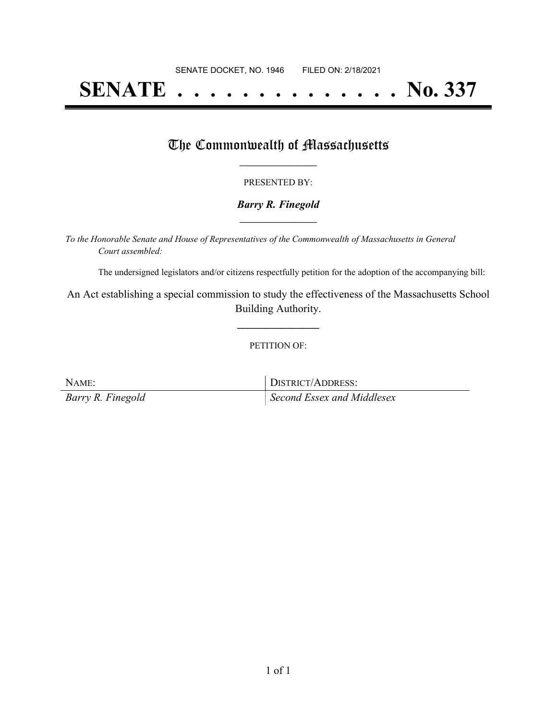# **SENATE . . . . . . . . . . . . . . No. 337**

## The Commonwealth of Massachusetts

#### PRESENTED BY:

#### *Barry R. Finegold* **\_\_\_\_\_\_\_\_\_\_\_\_\_\_\_\_\_**

*To the Honorable Senate and House of Representatives of the Commonwealth of Massachusetts in General Court assembled:*

The undersigned legislators and/or citizens respectfully petition for the adoption of the accompanying bill:

An Act establishing a special commission to study the effectiveness of the Massachusetts School Building Authority.

**\_\_\_\_\_\_\_\_\_\_\_\_\_\_\_**

#### PETITION OF:

| NAME:             | DISTRICT/ADDRESS:          |
|-------------------|----------------------------|
| Barry R. Finegold | Second Essex and Middlesex |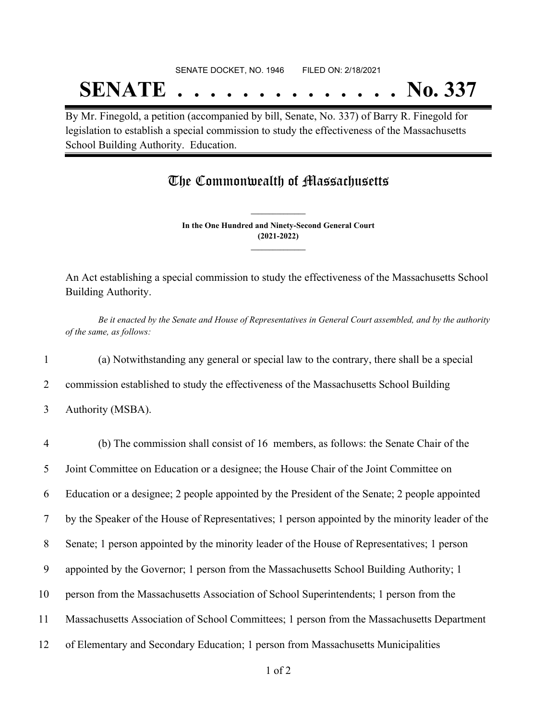# SENATE DOCKET, NO. 1946 FILED ON: 2/18/2021 **SENATE . . . . . . . . . . . . . . No. 337**

By Mr. Finegold, a petition (accompanied by bill, Senate, No. 337) of Barry R. Finegold for legislation to establish a special commission to study the effectiveness of the Massachusetts School Building Authority. Education.

### The Commonwealth of Massachusetts

**In the One Hundred and Ninety-Second General Court (2021-2022) \_\_\_\_\_\_\_\_\_\_\_\_\_\_\_**

**\_\_\_\_\_\_\_\_\_\_\_\_\_\_\_**

An Act establishing a special commission to study the effectiveness of the Massachusetts School Building Authority.

Be it enacted by the Senate and House of Representatives in General Court assembled, and by the authority *of the same, as follows:*

1 (a) Notwithstanding any general or special law to the contrary, there shall be a special

2 commission established to study the effectiveness of the Massachusetts School Building

<sup>3</sup> Authority (MSBA).

| $\overline{4}$ | (b) The commission shall consist of 16 members, as follows: the Senate Chair of the              |
|----------------|--------------------------------------------------------------------------------------------------|
| 5              | Joint Committee on Education or a designee; the House Chair of the Joint Committee on            |
| 6              | Education or a designee; 2 people appointed by the President of the Senate; 2 people appointed   |
| 7              | by the Speaker of the House of Representatives; 1 person appointed by the minority leader of the |
| 8              | Senate; 1 person appointed by the minority leader of the House of Representatives; 1 person      |
| 9              | appointed by the Governor; 1 person from the Massachusetts School Building Authority; 1          |
| 10             | person from the Massachusetts Association of School Superintendents; 1 person from the           |
| 11             | Massachusetts Association of School Committees; 1 person from the Massachusetts Department       |
| 12             | of Elementary and Secondary Education; 1 person from Massachusetts Municipalities                |